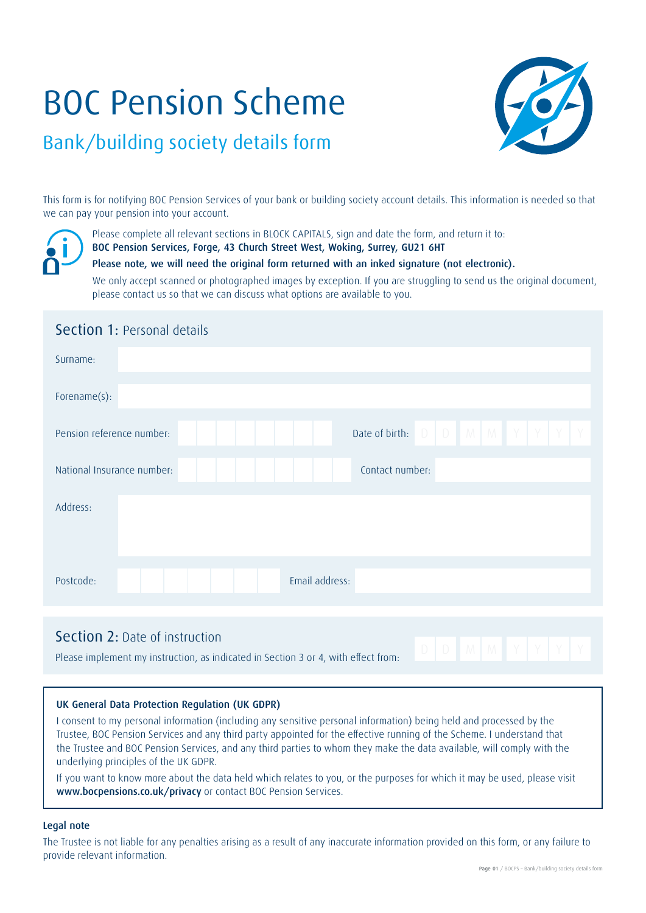# BOC Pension Scheme



## Bank/building society details form

This form is for notifying BOC Pension Services of your bank or building society account details. This information is needed so that we can pay your pension into your account.



Please complete all relevant sections in BLOCK CAPITALS, sign and date the form, and return it to:

BOC Pension Services, Forge, 43 Church Street West, Woking, Surrey, GU21 6HT

### Please note, we will need the original form returned with an inked signature (not electronic).

We only accept scanned or photographed images by exception. If you are struggling to send us the original document, please contact us so that we can discuss what options are available to you.

| <b>Section 1: Personal details</b>            |  |  |  |  |  |  |  |  |  |
|-----------------------------------------------|--|--|--|--|--|--|--|--|--|
| Surname:                                      |  |  |  |  |  |  |  |  |  |
| Forename(s):                                  |  |  |  |  |  |  |  |  |  |
| Pension reference number:                     |  |  |  |  |  |  |  |  |  |
| National Insurance number:<br>Contact number: |  |  |  |  |  |  |  |  |  |
| Address:                                      |  |  |  |  |  |  |  |  |  |
| Email address:<br>Postcode:                   |  |  |  |  |  |  |  |  |  |

### Section 2: Date of instruction

**Please implement my instruction, as indicated in Section 3 or 4, with effect from:**  $D \mid D \mid M \mid M \mid Y \mid Y$ 

### UK General Data Protection Regulation (UK GDPR)

I consent to my personal information (including any sensitive personal information) being held and processed by the Trustee, BOC Pension Services and any third party appointed for the effective running of the Scheme. I understand that the Trustee and BOC Pension Services, and any third parties to whom they make the data available, will comply with the underlying principles of the UK GDPR.

If you want to know more about the data held which relates to you, or the purposes for which it may be used, please visit www.bocpensions.co.uk/privacy or contact BOC Pension Services.

### Legal note

The Trustee is not liable for any penalties arising as a result of any inaccurate information provided on this form, or any failure to provide relevant information.